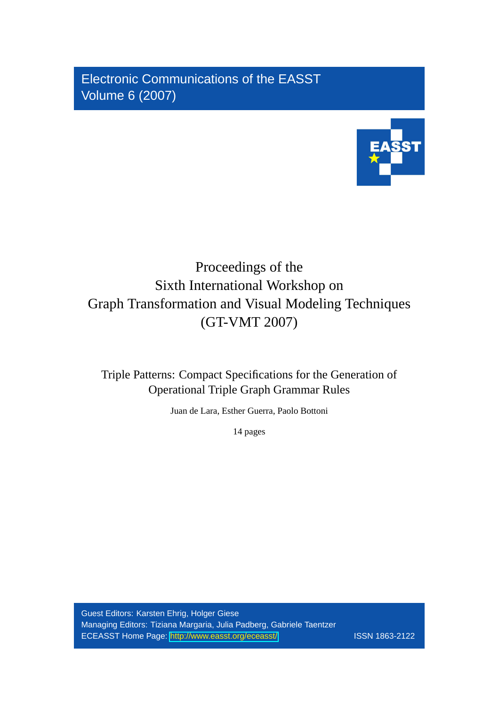Electronic Communications of the EASST Volume 6 (2007)



# Proceedings of the Sixth International Workshop on Graph Transformation and Visual Modeling Techniques (GT-VMT 2007)

Triple Patterns: Compact Specifications for the Generation of Operational Triple Graph Grammar Rules

Juan de Lara, Esther Guerra, Paolo Bottoni

14 pages

Guest Editors: Karsten Ehrig, Holger Giese Managing Editors: Tiziana Margaria, Julia Padberg, Gabriele Taentzer ECEASST Home Page: <http://www.easst.org/eceasst/> ISSN 1863-2122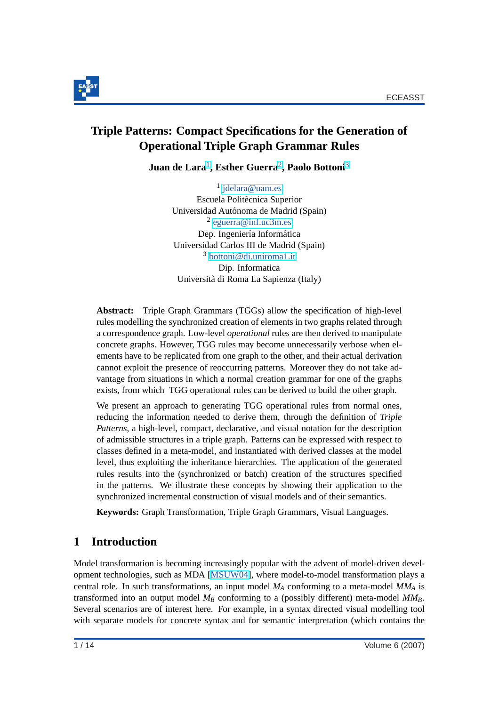

# **Triple Patterns: Compact Specifications for the Generation of Operational Triple Graph Grammar Rules**

 $\bf{Juan~de~Lara^1,~Esther~Guerra^2,~Paolo~Bottomi^3}$ 

<sup>1</sup> [jdelara@uam.es](mailto:jdelara@uam.es) Escuela Politécnica Superior Universidad Autónoma de Madrid (Spain) 2 [eguerra@inf.uc3m.es](mailto:eguerra@inf.uc3m.es) Dep. Ingeniería Informática Universidad Carlos III de Madrid (Spain) <sup>3</sup> [bottoni@di.uniroma1.it](mailto:bottoni@di.uniroma1.it) Dip. Informatica Universita di Roma La Sapienza (Italy) `

**Abstract:** Triple Graph Grammars (TGGs) allow the specification of high-level rules modelling the synchronized creation of elements in two graphs related through a correspondence graph. Low-level *operational* rules are then derived to manipulate concrete graphs. However, TGG rules may become unnecessarily verbose when elements have to be replicated from one graph to the other, and their actual derivation cannot exploit the presence of reoccurring patterns. Moreover they do not take advantage from situations in which a normal creation grammar for one of the graphs exists, from which TGG operational rules can be derived to build the other graph.

We present an approach to generating TGG operational rules from normal ones, reducing the information needed to derive them, through the definition of *Triple Patterns*, a high-level, compact, declarative, and visual notation for the description of admissible structures in a triple graph. Patterns can be expressed with respect to classes defined in a meta-model, and instantiated with derived classes at the model level, thus exploiting the inheritance hierarchies. The application of the generated rules results into the (synchronized or batch) creation of the structures specified in the patterns. We illustrate these concepts by showing their application to the synchronized incremental construction of visual models and of their semantics.

**Keywords:** Graph Transformation, Triple Graph Grammars, Visual Languages.

# **1 Introduction**

Model transformation is becoming increasingly popular with the advent of model-driven development technologies, such as MDA [\[MSUW04\]](#page-14-0), where model-to-model transformation plays a central role. In such transformations, an input model *M<sup>A</sup>* conforming to a meta-model *MM<sup>A</sup>* is transformed into an output model *M<sup>B</sup>* conforming to a (possibly different) meta-model *MMB*. Several scenarios are of interest here. For example, in a syntax directed visual modelling tool with separate models for concrete syntax and for semantic interpretation (which contains the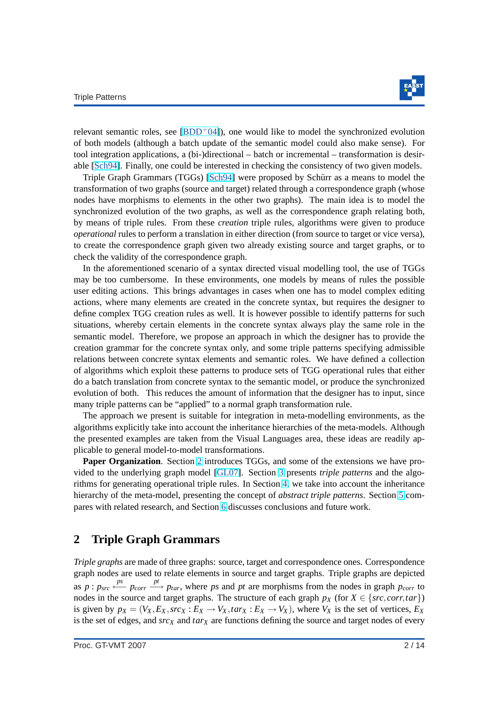

<span id="page-2-0"></span>relevant semantic roles, see  $(BDD<sup>+</sup>04$ ), one would like to model the synchronized evolution of both models (although a batch update of the semantic model could also make sense). For tool integration applications, a (bi-)directional – batch or incremental – transformation is desirable [\[Sch94\]](#page-14-0). Finally, one could be interested in checking the consistency of two given models.

Triple Graph Grammars (TGGs) [\[Sch94\]](#page-14-0) were proposed by Schürr as a means to model the transformation of two graphs (source and target) related through a correspondence graph (whose nodes have morphisms to elements in the other two graphs). The main idea is to model the synchronized evolution of the two graphs, as well as the correspondence graph relating both, by means of triple rules. From these *creation* triple rules, algorithms were given to produce *operational* rules to perform a translation in either direction (from source to target or vice versa), to create the correspondence graph given two already existing source and target graphs, or to check the validity of the correspondence graph.

In the aforementioned scenario of a syntax directed visual modelling tool, the use of TGGs may be too cumbersome. In these environments, one models by means of rules the possible user editing actions. This brings advantages in cases when one has to model complex editing actions, where many elements are created in the concrete syntax, but requires the designer to define complex TGG creation rules as well. It is however possible to identify patterns for such situations, whereby certain elements in the concrete syntax always play the same role in the semantic model. Therefore, we propose an approach in which the designer has to provide the creation grammar for the concrete syntax only, and some triple patterns specifying admissible relations between concrete syntax elements and semantic roles. We have defined a collection of algorithms which exploit these patterns to produce sets of TGG operational rules that either do a batch translation from concrete syntax to the semantic model, or produce the synchronized evolution of both. This reduces the amount of information that the designer has to input, since many triple patterns can be "applied" to a normal graph transformation rule.

The approach we present is suitable for integration in meta-modelling environments, as the algorithms explicitly take into account the inheritance hierarchies of the meta-models. Although the presented examples are taken from the Visual Languages area, these ideas are readily applicable to general model-to-model transformations.

**Paper Organization**. Section 2 introduces TGGs, and some of the extensions we have provided to the underlying graph model [\[GL07\]](#page-14-0). Section [3](#page-4-0) presents *triple patterns* and the algorithms for generating operational triple rules. In Section [4,](#page-9-0) we take into account the inheritance hierarchy of the meta-model, presenting the concept of *abstract triple patterns*. Section [5](#page-11-0) compares with related research, and Section [6](#page-12-0) discusses conclusions and future work.

### **2 Triple Graph Grammars**

*Triple graphs* are made of three graphs: source, target and correspondence ones. Correspondence graph nodes are used to relate elements in source and target graphs. Triple graphs are depicted as  $p: p_{src} \xleftarrow{ps} p_{corr} \xrightarrow{pt} p_{tar}$ , where *ps* and *pt* are morphisms from the nodes in graph  $p_{corr}$  to nodes in the source and target graphs. The structure of each graph  $p_X$  (for  $X \in \{src, corr, tar\}$ ) is given by  $p_X = (V_X, E_X, src_X : E_X \to V_X, tar_X : E_X \to V_X)$ , where  $V_X$  is the set of vertices,  $E_X$ is the set of edges, and *src<sup>X</sup>* and *tar<sup>X</sup>* are functions defining the source and target nodes of every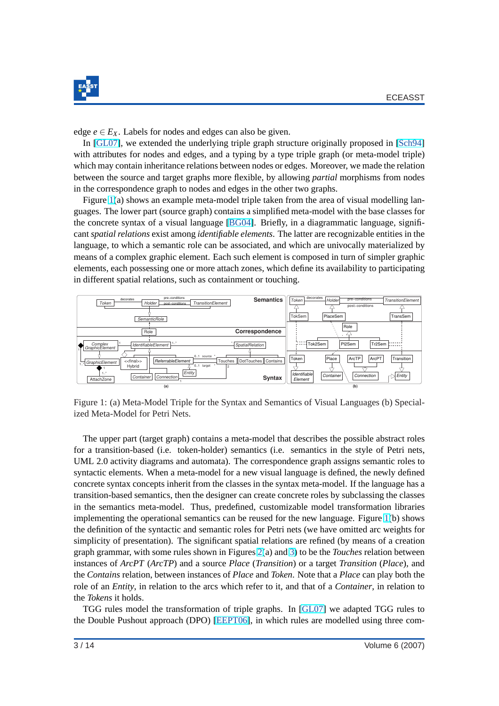<span id="page-3-0"></span>

edge  $e \in E_X$ . Labels for nodes and edges can also be given.

In [\[GL07\]](#page-14-0), we extended the underlying triple graph structure originally proposed in [\[Sch94\]](#page-14-0) with attributes for nodes and edges, and a typing by a type triple graph (or meta-model triple) which may contain inheritance relations between nodes or edges. Moreover, we made the relation between the source and target graphs more flexible, by allowing *partial* morphisms from nodes in the correspondence graph to nodes and edges in the other two graphs.

Figure 1(a) shows an example meta-model triple taken from the area of visual modelling languages. The lower part (source graph) contains a simplified meta-model with the base classes for the concrete syntax of a visual language [\[BG04\]](#page-13-0). Briefly, in a diagrammatic language, significant *spatial relations* exist among *identifiable elements*. The latter are recognizable entities in the language, to which a semantic role can be associated, and which are univocally materialized by means of a complex graphic element. Each such element is composed in turn of simpler graphic elements, each possessing one or more attach zones, which define its availability to participating in different spatial relations, such as containment or touching.



Figure 1: (a) Meta-Model Triple for the Syntax and Semantics of Visual Languages (b) Specialized Meta-Model for Petri Nets.

The upper part (target graph) contains a meta-model that describes the possible abstract roles for a transition-based (i.e. token-holder) semantics (i.e. semantics in the style of Petri nets, UML 2.0 activity diagrams and automata). The correspondence graph assigns semantic roles to syntactic elements. When a meta-model for a new visual language is defined, the newly defined concrete syntax concepts inherit from the classes in the syntax meta-model. If the language has a transition-based semantics, then the designer can create concrete roles by subclassing the classes in the semantics meta-model. Thus, predefined, customizable model transformation libraries implementing the operational semantics can be reused for the new language. Figure 1(b) shows the definition of the syntactic and semantic roles for Petri nets (we have omitted arc weights for simplicity of presentation). The significant spatial relations are refined (by means of a creation graph grammar, with some rules shown in Figures [2\(](#page-4-0)a) and [3\)](#page-5-0) to be the *Touches* relation between instances of *ArcPT* (*ArcTP*) and a source *Place* (*Transition*) or a target *Transition* (*Place*), and the *Contains* relation, between instances of *Place* and *Token*. Note that a *Place* can play both the role of an *Entity*, in relation to the arcs which refer to it, and that of a *Container*, in relation to the *Tokens* it holds.

TGG rules model the transformation of triple graphs. In [\[GL07\]](#page-14-0) we adapted TGG rules to the Double Pushout approach (DPO) [\[EEPT06\]](#page-13-0), in which rules are modelled using three com-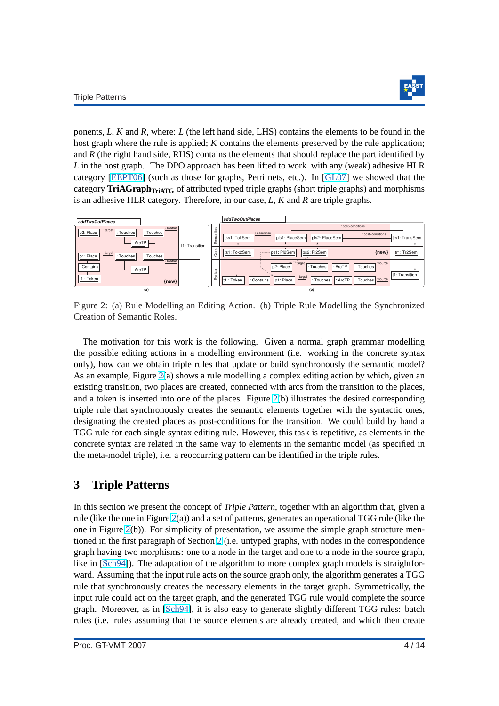

<span id="page-4-0"></span>ponents, *L*, *K* and *R*, where: *L* (the left hand side, LHS) contains the elements to be found in the host graph where the rule is applied; *K* contains the elements preserved by the rule application; and *R* (the right hand side, RHS) contains the elements that should replace the part identified by *L* in the host graph. The DPO approach has been lifted to work with any (weak) adhesive HLR category [\[EEPT06\]](#page-13-0) (such as those for graphs, Petri nets, etc.). In [\[GL07\]](#page-14-0) we showed that the category **TriAGraphTriATG** of attributed typed triple graphs (short triple graphs) and morphisms is an adhesive HLR category. Therefore, in our case, *L*, *K* and *R* are triple graphs.



Figure 2: (a) Rule Modelling an Editing Action. (b) Triple Rule Modelling the Synchronized Creation of Semantic Roles.

The motivation for this work is the following. Given a normal graph grammar modelling the possible editing actions in a modelling environment (i.e. working in the concrete syntax only), how can we obtain triple rules that update or build synchronously the semantic model? As an example, Figure 2(a) shows a rule modelling a complex editing action by which, given an existing transition, two places are created, connected with arcs from the transition to the places, and a token is inserted into one of the places. Figure 2(b) illustrates the desired corresponding triple rule that synchronously creates the semantic elements together with the syntactic ones, designating the created places as post-conditions for the transition. We could build by hand a TGG rule for each single syntax editing rule. However, this task is repetitive, as elements in the concrete syntax are related in the same way to elements in the semantic model (as specified in the meta-model triple), i.e. a reoccurring pattern can be identified in the triple rules.

### **3 Triple Patterns**

In this section we present the concept of *Triple Pattern*, together with an algorithm that, given a rule (like the one in Figure 2(a)) and a set of patterns, generates an operational TGG rule (like the one in Figure 2(b)). For simplicity of presentation, we assume the simple graph structure mentioned in the first paragraph of Section [2](#page-2-0) (i.e. untyped graphs, with nodes in the correspondence graph having two morphisms: one to a node in the target and one to a node in the source graph, like in [\[Sch94\]](#page-14-0)). The adaptation of the algorithm to more complex graph models is straightforward. Assuming that the input rule acts on the source graph only, the algorithm generates a TGG rule that synchronously creates the necessary elements in the target graph. Symmetrically, the input rule could act on the target graph, and the generated TGG rule would complete the source graph. Moreover, as in [\[Sch94\]](#page-14-0), it is also easy to generate slightly different TGG rules: batch rules (i.e. rules assuming that the source elements are already created, and which then create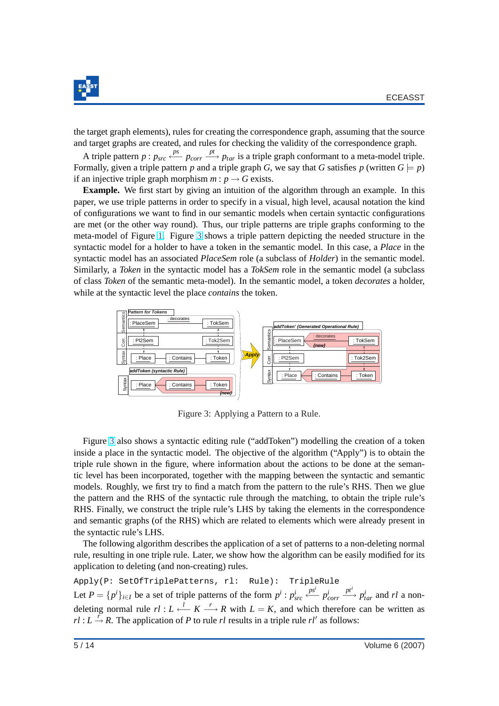<span id="page-5-0"></span>

the target graph elements), rules for creating the correspondence graph, assuming that the source and target graphs are created, and rules for checking the validity of the correspondence graph.

A triple pattern  $p : p_{src} \xleftarrow{ps} p_{corr} \xrightarrow{pt} p_{tar}$  is a triple graph conformant to a meta-model triple. Formally, given a triple pattern *p* and a triple graph *G*, we say that *G* satisfies *p* (written  $G \models p$ ) if an injective triple graph morphism  $m : p \rightarrow G$  exists.

**Example.** We first start by giving an intuition of the algorithm through an example. In this paper, we use triple patterns in order to specify in a visual, high level, acausal notation the kind of configurations we want to find in our semantic models when certain syntactic configurations are met (or the other way round). Thus, our triple patterns are triple graphs conforming to the meta-model of Figure [1.](#page-3-0) Figure 3 shows a triple pattern depicting the needed structure in the syntactic model for a holder to have a token in the semantic model. In this case, a *Place* in the syntactic model has an associated *PlaceSem* role (a subclass of *Holder*) in the semantic model. Similarly, a *Token* in the syntactic model has a *TokSem* role in the semantic model (a subclass of class *Token* of the semantic meta-model). In the semantic model, a token *decorates* a holder, while at the syntactic level the place *contains* the token.



Figure 3: Applying a Pattern to a Rule.

Figure 3 also shows a syntactic editing rule ("addToken") modelling the creation of a token inside a place in the syntactic model. The objective of the algorithm ("Apply") is to obtain the triple rule shown in the figure, where information about the actions to be done at the semantic level has been incorporated, together with the mapping between the syntactic and semantic models. Roughly, we first try to find a match from the pattern to the rule's RHS. Then we glue the pattern and the RHS of the syntactic rule through the matching, to obtain the triple rule's RHS. Finally, we construct the triple rule's LHS by taking the elements in the correspondence and semantic graphs (of the RHS) which are related to elements which were already present in the syntactic rule's LHS.

The following algorithm describes the application of a set of patterns to a non-deleting normal rule, resulting in one triple rule. Later, we show how the algorithm can be easily modified for its application to deleting (and non-creating) rules.

Apply(P: SetOfTriplePatterns, rl: Rule): TripleRule Let  $P = \{p^i\}_{i \in I}$  be a set of triple patterns of the form  $p^i : p^i_{src}$ *psi* ←− *p i corr*  $\frac{pt^i}{\longrightarrow} p_{tar}^i$  and *rl* a nondeleting normal rule  $rl: L \stackrel{l}{\longleftarrow} K \stackrel{r}{\longrightarrow} R$  with  $L = K$ , and which therefore can be written as  $r \cdot l : L \stackrel{r}{\rightarrow} R$ . The application of *P* to rule *rl* results in a triple rule *rl'* as follows: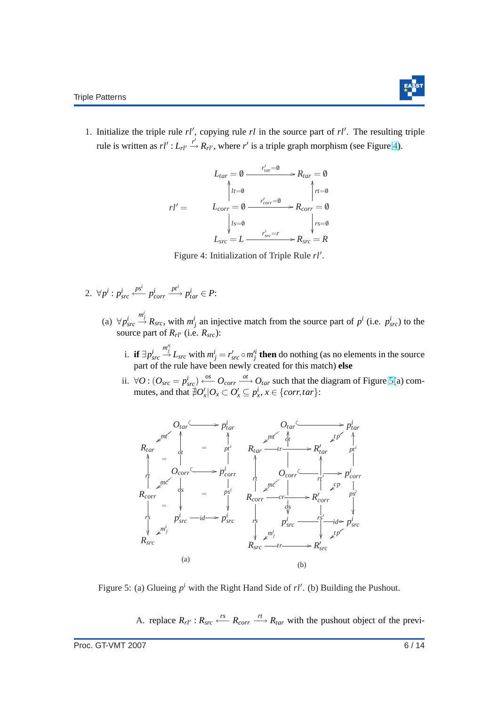

<span id="page-6-0"></span>1. Initialize the triple rule  $rl'$ , copying rule  $rl$  in the source part of  $rl'$ . The resulting triple rule is written as  $rl' : L_{rl'} \stackrel{r'}{\rightarrow} R_{rl'}$ , where  $r'$  is a triple graph morphism (see Figure 4).

$$
L_{tar} = 0 \xrightarrow{r'_{tar} = 0} R_{tar} = 0
$$
  
\n
$$
r l' = L_{corr} = 0 \xrightarrow{r'_{corr} = 0} R_{corr} = 0
$$
  
\n
$$
L_{str} = L \xrightarrow{r'_{src} = r} R_{src} = R
$$

Figure 4: Initialization of Triple Rule rl'.

- 2.  $\forall p^i : p^i_{src}$ *psi* ←− *p i corr*  $\stackrel{pt^i}{\longrightarrow} p_{tar}^i \in P$ 
	- (a)  $\forall p_{src}^i$  $\stackrel{m_j^i}{\rightarrow} R_{src}$ , with  $m_j^i$  an injective match from the source part of  $p^i$  (i.e.  $p_{src}^i$ ) to the source part of  $R_{rl}$ <sup> $\prime$ </sup> (i.e.  $R_{src}$ ):
		- i. **if** ∃ $p_{src}^i$  $\stackrel{m_j^i}{\rightarrow}$  *L*<sub>src</sub> with  $m_j^i = r_{src}^i \circ m_j'^i$  then do nothing (as no elements in the source part of the rule have been newly created for this match) **else**
		- ii. ∀ $O$  :  $(O_{src} = p_{src}^i) \xleftarrow{os} O_{corr} \xrightarrow{ot} O_{tar}$  such that the diagram of Figure 5(a) commutes, and that  $\exists O'_x \mid O_x \subset O'_x \subseteq p_x^i$ ,  $x \in \{corr, tar\}$ :



Figure 5: (a) Glueing  $p^i$  with the Right Hand Side of  $rl'$ . (b) Building the Pushout.

A. replace  $R_{rl'}$ :  $R_{src} \xleftarrow{rs} R_{corr} \xrightarrow{rt} R_{tar}$  with the pushout object of the previ-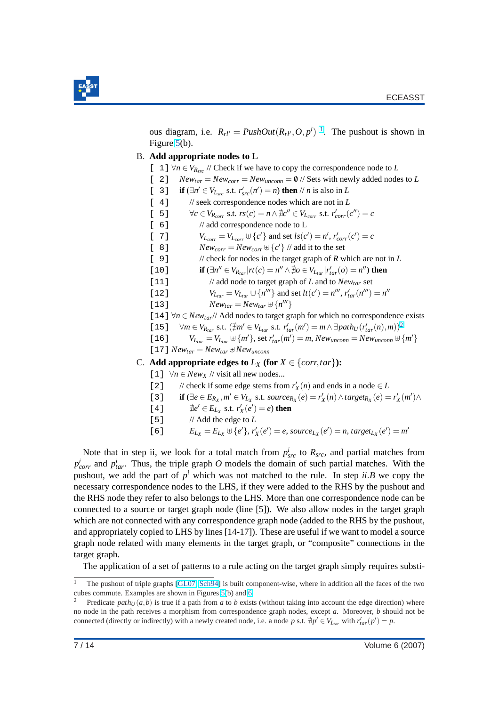

ous diagram, i.e.  $R_{rl'} = \text{PushOut}(R_{rl'}, O, p^i)^{-1}$ . The pushout is shown in Figure [5\(](#page-6-0)b).

#### B. **Add appropriate nodes to L**

- [ 1] ∀*n* ∈  $V_{R_{src}}$  // Check if we have to copy the correspondence node to *L*
- [ 2]  $New_{tar} = New_{corr} = New_{unconn} = 0$  // Sets with newly added nodes to *L*
- [ 3] **if**  $\exists n' \in V_{L_{src}}$  s.t.  $r'_{src}(n') = n$ ) **then** // *n* is also in *L*
- [ 4] // seek correspondence nodes which are not in *L*
- $\forall c \in V_{R_{corr}} \text{ s.t. } rs(c) = n \land \nexists c'' \in V_{L_{corr}} \text{ s.t. } r'_{corr}(c'') = c$
- [ 6] // add correspondence node to L
- $V_{L_{corr}} = V_{L_{corr}} \oplus \{c'\}$  and set  $ls(c') = n'$ ,  $r'_{corr}(c') = c$
- [ 8] *New*<sub>corr</sub> =  $New_{corr} \oplus {c'}$  // add it to the set
- [ 9] // check for nodes in the target graph of *R* which are not in *L*
- $\textbf{if} \ (\exists n'' \in V_{R_{tar}} | rt(c) = n'' \land \nexists o \in V_{L_{tar}} | r'_{tar}(o) = n'') \textbf{ then}$
- [11] // add node to target graph of *L* and to *Newtar* set
- [12]  $V_{L_{tar}} = V_{L_{tar}} \oplus \{n'''\}$  and set  $lt(c') = n''', r'_{tar}(n''') = n''$
- [13]  $New_{tar} = New_{tar} \oplus \{n^{\prime\prime\prime}\}$

[14] ∀*n* ∈ *Newtar*// Add nodes to target graph for which no correspondence exists

- $[15]$   $\forall m \in V_{R_{tar}} \text{ s.t. } (\nexists m' \in V_{L_{tar}} \text{ s.t. } r'_{tar}(m') = m \land \exists path_U (r'_{tar}(n), m))^2$
- $V_{L_{tar}} = V_{L_{tar}} \oplus \{m'\}, \text{set } r'_{tar}(m') = m, \text{New}_{unconn} = \text{New}_{unconn} \oplus \{m'\}$

$$
[17]
$$
  $New_{tar} = New_{tar} \oplus New_{unconn}$ 

C. Add appropriate edges to  $L_X$  (for  $X \in \{corr, tar\}$ ):

[1]  $\forall n \in New_X$  // visit all new nodes...

- [2] // check if some edge stems from  $r'_X(n)$  and ends in a node  $\in L$
- [3] **if**  $(\exists e \in E_{R_X}, m' \in V_{L_X} \text{ s.t. source}_{R_X}(e) = r'_X(n) \land target_{R_X}(e) = r'_X(m') \land$
- $[4]$  $Q' \in E_{L_X}$  s.t.  $r'_X(e') = e$ ) then
- [5] // Add the edge to *L*
- [6]  $E_{L_X} = E_{L_X} \oplus \{e'\}, r'_X(e') = e$ , source<sub>Lx</sub> $(e') = n$ , target<sub>Lx</sub> $(e') = m'$

Note that in step ii, we look for a total match from  $p_{src}^i$  to  $R_{src}$ , and partial matches from  $p_{corr}^i$  and  $p_{tar}^i$ . Thus, the triple graph *O* models the domain of such partial matches. With the pushout, we add the part of  $p^i$  which was not matched to the rule. In step  $ii.B$  we copy the necessary correspondence nodes to the LHS, if they were added to the RHS by the pushout and the RHS node they refer to also belongs to the LHS. More than one correspondence node can be connected to a source or target graph node (line [5]). We also allow nodes in the target graph which are not connected with any correspondence graph node (added to the RHS by the pushout, and appropriately copied to LHS by lines [14-17]). These are useful if we want to model a source graph node related with many elements in the target graph, or "composite" connections in the target graph.

The application of a set of patterns to a rule acting on the target graph simply requires substi-

The pushout of triple graphs [\[GL07,](#page-14-0) [Sch94\]](#page-14-0) is built component-wise, where in addition all the faces of the two cubes commute. Examples are shown in Figures [5\(](#page-6-0)b) and [6](#page-8-0)

Predicate  $path_U(a, b)$  is true if a path from *a* to *b* exists (without taking into account the edge direction) where no node in the path receives a morphism from correspondence graph nodes, except *a*. Moreover, *b* should not be connected (directly or indirectly) with a newly created node, i.e. a node *p* s.t.  $\sharp p' \in V_{L_{tar}}$  with  $r'_{tar}(p') = p$ .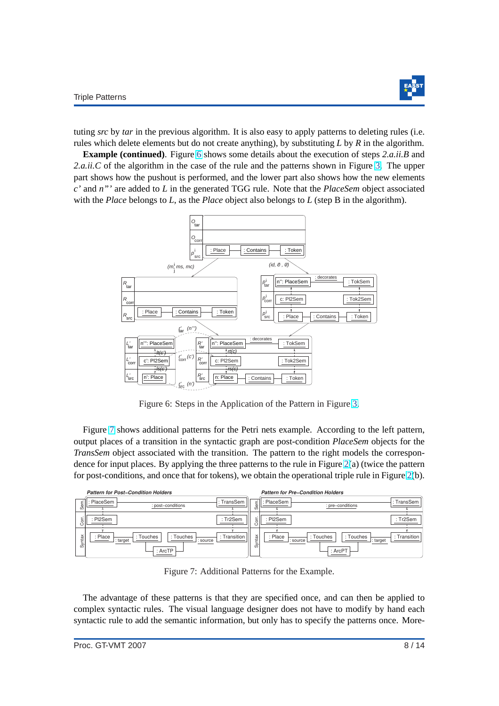

<span id="page-8-0"></span>tuting *src* by *tar* in the previous algorithm. It is also easy to apply patterns to deleting rules (i.e. rules which delete elements but do not create anything), by substituting *L* by *R* in the algorithm.

**Example (continued)**. Figure 6 shows some details about the execution of steps *2.a.ii.B* and *2.a.ii.C* of the algorithm in the case of the rule and the patterns shown in Figure [3.](#page-5-0) The upper part shows how the pushout is performed, and the lower part also shows how the new elements *c'* and *n"'* are added to *L* in the generated TGG rule. Note that the *PlaceSem* object associated with the *Place* belongs to *L*, as the *Place* object also belongs to *L* (step B in the algorithm).



Figure 6: Steps in the Application of the Pattern in Figure [3.](#page-5-0)

Figure 7 shows additional patterns for the Petri nets example. According to the left pattern, output places of a transition in the syntactic graph are post-condition *PlaceSem* objects for the *TransSem* object associated with the transition. The pattern to the right models the correspondence for input places. By applying the three patterns to the rule in Figure [2\(](#page-4-0)a) (twice the pattern for post-conditions, and once that for tokens), we obtain the operational triple rule in Figure [2\(](#page-4-0)b).

|        | <b>Pattern for Post-Condition Holders</b>                                            |         | <b>Pattern for Pre-Condition Holders</b>                                             |
|--------|--------------------------------------------------------------------------------------|---------|--------------------------------------------------------------------------------------|
| Sem    | : TransSem<br>PlaceSem<br>: post-conditions                                          | m       | : TransSem<br>PlaceSem<br>: pre-conditions                                           |
| Corr   | : Tr2Sem<br>PI2Sem                                                                   |         | : Tr2Sem<br>: PI2Sem                                                                 |
| Syntax | : Transition<br>: Place<br>: Touches<br>: Touches<br>: target<br>: source<br>: ArcTP | ă<br>ିନ | : Touches<br>: Touches<br>: Place<br>: Transition<br>: target<br>: source<br>: ArcPT |

Figure 7: Additional Patterns for the Example.

The advantage of these patterns is that they are specified once, and can then be applied to complex syntactic rules. The visual language designer does not have to modify by hand each syntactic rule to add the semantic information, but only has to specify the patterns once. More-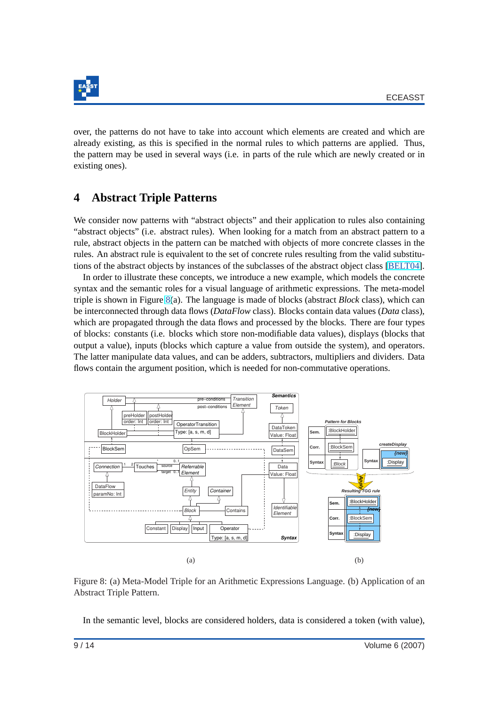<span id="page-9-0"></span>

over, the patterns do not have to take into account which elements are created and which are already existing, as this is specified in the normal rules to which patterns are applied. Thus, the pattern may be used in several ways (i.e. in parts of the rule which are newly created or in existing ones).

# **4 Abstract Triple Patterns**

We consider now patterns with "abstract objects" and their application to rules also containing "abstract objects" (i.e. abstract rules). When looking for a match from an abstract pattern to a rule, abstract objects in the pattern can be matched with objects of more concrete classes in the rules. An abstract rule is equivalent to the set of concrete rules resulting from the valid substitutions of the abstract objects by instances of the subclasses of the abstract object class [\[BELT04\]](#page-13-0).

In order to illustrate these concepts, we introduce a new example, which models the concrete syntax and the semantic roles for a visual language of arithmetic expressions. The meta-model triple is shown in Figure 8(a). The language is made of blocks (abstract *Block* class), which can be interconnected through data flows (*DataFlow* class). Blocks contain data values (*Data* class), which are propagated through the data flows and processed by the blocks. There are four types of blocks: constants (i.e. blocks which store non-modifiable data values), displays (blocks that output a value), inputs (blocks which capture a value from outside the system), and operators. The latter manipulate data values, and can be adders, subtractors, multipliers and dividers. Data flows contain the argument position, which is needed for non-commutative operations.



Figure 8: (a) Meta-Model Triple for an Arithmetic Expressions Language. (b) Application of an Abstract Triple Pattern.

In the semantic level, blocks are considered holders, data is considered a token (with value),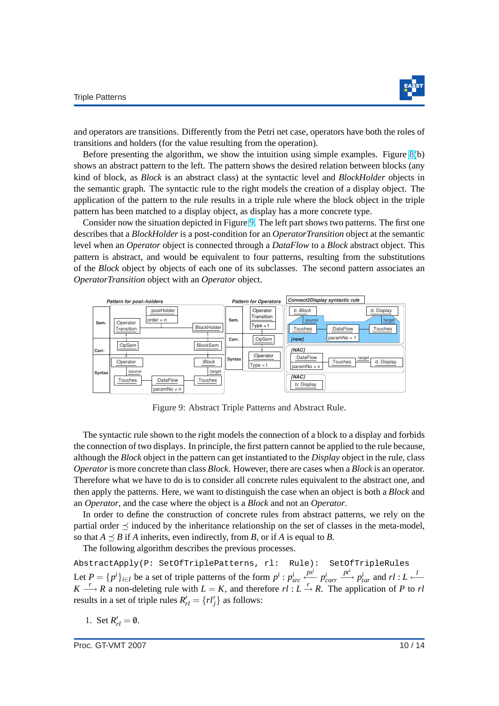

<span id="page-10-0"></span>and operators are transitions. Differently from the Petri net case, operators have both the roles of transitions and holders (for the value resulting from the operation).

Before presenting the algorithm, we show the intuition using simple examples. Figure [8\(](#page-9-0)b) shows an abstract pattern to the left. The pattern shows the desired relation between blocks (any kind of block, as *Block* is an abstract class) at the syntactic level and *BlockHolder* objects in the semantic graph. The syntactic rule to the right models the creation of a display object. The application of the pattern to the rule results in a triple rule where the block object in the triple pattern has been matched to a display object, as display has a more concrete type.

Consider now the situation depicted in Figure 9. The left part shows two patterns. The first one describes that a *BlockHolder* is a post-condition for an *OperatorTransition* object at the semantic level when an *Operator* object is connected through a *DataFlow* to a *Block* abstract object. This pattern is abstract, and would be equivalent to four patterns, resulting from the substitutions of the *Block* object by objects of each one of its subclasses. The second pattern associates an *OperatorTransition* object with an *Operator* object.



Figure 9: Abstract Triple Patterns and Abstract Rule.

The syntactic rule shown to the right models the connection of a block to a display and forbids the connection of two displays. In principle, the first pattern cannot be applied to the rule because, although the *Block* object in the pattern can get instantiated to the *Display* object in the rule, class *Operator*is more concrete than class *Block*. However, there are cases when a *Block* is an operator. Therefore what we have to do is to consider all concrete rules equivalent to the abstract one, and then apply the patterns. Here, we want to distinguish the case when an object is both a *Block* and an *Operator*, and the case where the object is a *Block* and not an *Operator*.

In order to define the construction of concrete rules from abstract patterns, we rely on the partial order  $\preceq$  induced by the inheritance relationship on the set of classes in the meta-model, so that  $A \prec B$  if *A* inherits, even indirectly, from *B*, or if *A* is equal to *B*.

The following algorithm describes the previous processes.

AbstractApply(P: SetOfTriplePatterns, rl: Rule): SetOfTripleRules Let  $P = \{p^i\}_{i \in I}$  be a set of triple patterns of the form  $p^i : p^i_{src}$ *psi* ←− *p i corr*  $\frac{pt^i}{\longrightarrow} p_{tar}^i$  and  $rl: L \xleftarrow{l}$  $K \longrightarrow R$  a non-deleting rule with  $L = K$ , and therefore  $r \cdot L \rightarrow R$ . The application of *P* to *rl* results in a set of triple rules  $R'_{rl} = \{rl'_j\}$  as follows:

1. Set  $R'_{rl} = \emptyset$ .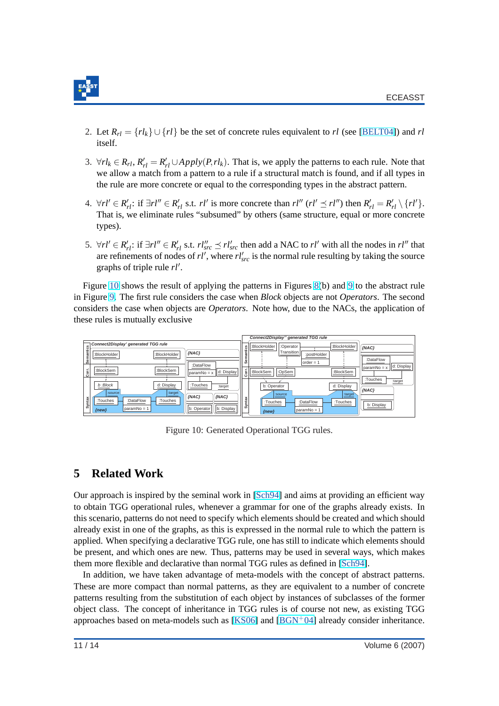<span id="page-11-0"></span>

- 2. Let  $R_{rl} = \{rl_k\} \cup \{rl\}$  be the set of concrete rules equivalent to *rl* (see [\[BELT04\]](#page-13-0)) and *rl* itself.
- 3.  $\forall r l_k \in R_{rl}, R'_{rl} = R'_{rl} \cup Apply(P,rl_k)$ . That is, we apply the patterns to each rule. Note that we allow a match from a pattern to a rule if a structural match is found, and if all types in the rule are more concrete or equal to the corresponding types in the abstract pattern.
- 4.  $\forall r l' \in R'_{rl}$ : if  $\exists r l'' \in R'_{rl}$  s.t.  $rl'$  is more concrete than  $rl''$  ( $rl' \preceq rl''$ ) then  $R'_{rl} = R'_{rl} \setminus \{rl'\}$ . That is, we eliminate rules "subsumed" by others (same structure, equal or more concrete types).
- 5.  $\forall r l' \in R'_{rl}$ : if ∃*rl*<sup> $''$ </sup> ∈  $R'_{rl}$  s.t.  $rl''_{src}$   $\preceq$  *rl*'<sub>src</sub> then add a NAC to *rl'* with all the nodes in *rl''* that are refinements of nodes of  $rl'$ , where  $rl'_{src}$  is the normal rule resulting by taking the source graphs of triple rule  $rl'$ .

Figure 10 shows the result of applying the patterns in Figures [8\(](#page-9-0)b) and [9](#page-10-0) to the abstract rule in Figure [9.](#page-10-0) The first rule considers the case when *Block* objects are not *Operators*. The second considers the case when objects are *Operators*. Note how, due to the NACs, the application of these rules is mutually exclusive



Figure 10: Generated Operational TGG rules.

## **5 Related Work**

Our approach is inspired by the seminal work in [\[Sch94\]](#page-14-0) and aims at providing an efficient way to obtain TGG operational rules, whenever a grammar for one of the graphs already exists. In this scenario, patterns do not need to specify which elements should be created and which should already exist in one of the graphs, as this is expressed in the normal rule to which the pattern is applied. When specifying a declarative TGG rule, one has still to indicate which elements should be present, and which ones are new. Thus, patterns may be used in several ways, which makes them more flexible and declarative than normal TGG rules as defined in [\[Sch94\]](#page-14-0).

In addition, we have taken advantage of meta-models with the concept of abstract patterns. These are more compact than normal patterns, as they are equivalent to a number of concrete patterns resulting from the substitution of each object by instances of subclasses of the former object class. The concept of inheritance in TGG rules is of course not new, as existing TGG approaches based on meta-models such as  $[KS06]$  and  $[BGN<sup>+</sup>04]$  already consider inheritance.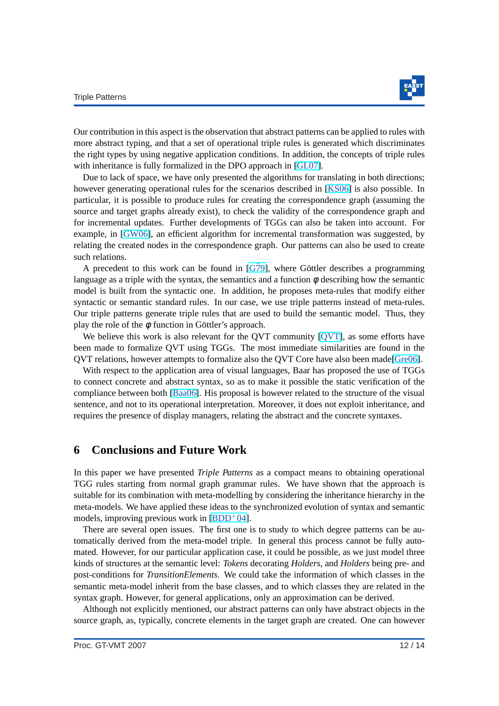

<span id="page-12-0"></span>Our contribution in this aspect is the observation that abstract patterns can be applied to rules with more abstract typing, and that a set of operational triple rules is generated which discriminates the right types by using negative application conditions. In addition, the concepts of triple rules with inheritance is fully formalized in the DPO approach in [\[GL07\]](#page-14-0).

Due to lack of space, we have only presented the algorithms for translating in both directions; however generating operational rules for the scenarios described in [\[KS06\]](#page-14-0) is also possible. In particular, it is possible to produce rules for creating the correspondence graph (assuming the source and target graphs already exist), to check the validity of the correspondence graph and for incremental updates. Further developments of TGGs can also be taken into account. For example, in [\[GW06\]](#page-14-0), an efficient algorithm for incremental transformation was suggested, by relating the created nodes in the correspondence graph. Our patterns can also be used to create such relations.

A precedent to this work can be found in  $[G\overline{7}9]$ , where Göttler describes a programming language as a triple with the syntax, the semantics and a function  $\phi$  describing how the semantic model is built from the syntactic one. In addition, he proposes meta-rules that modify either syntactic or semantic standard rules. In our case, we use triple patterns instead of meta-rules. Our triple patterns generate triple rules that are used to build the semantic model. Thus, they play the role of the  $\phi$  function in Göttler's approach.

We believe this work is also relevant for the OVT community [OVT], as some efforts have been made to formalize QVT using TGGs. The most immediate similarities are found in the QVT relations, however attempts to formalize also the QVT Core have also been made[\[Gre06\]](#page-14-0).

With respect to the application area of visual languages, Baar has proposed the use of TGGs to connect concrete and abstract syntax, so as to make it possible the static verification of the compliance between both [\[Baa06\]](#page-13-0). His proposal is however related to the structure of the visual sentence, and not to its operational interpretation. Moreover, it does not exploit inheritance, and requires the presence of display managers, relating the abstract and the concrete syntaxes.

#### **6 Conclusions and Future Work**

In this paper we have presented *Triple Patterns* as a compact means to obtaining operational TGG rules starting from normal graph grammar rules. We have shown that the approach is suitable for its combination with meta-modelling by considering the inheritance hierarchy in the meta-models. We have applied these ideas to the synchronized evolution of syntax and semantic models, improving previous work in  $[BDD^+04]$  $[BDD^+04]$ .

There are several open issues. The first one is to study to which degree patterns can be automatically derived from the meta-model triple. In general this process cannot be fully automated. However, for our particular application case, it could be possible, as we just model three kinds of structures at the semantic level: *Tokens* decorating *Holders*, and *Holders* being pre- and post-conditions for *TransitionElements*. We could take the information of which classes in the semantic meta-model inherit from the base classes, and to which classes they are related in the syntax graph. However, for general applications, only an approximation can be derived.

Although not explicitly mentioned, our abstract patterns can only have abstract objects in the source graph, as, typically, concrete elements in the target graph are created. One can however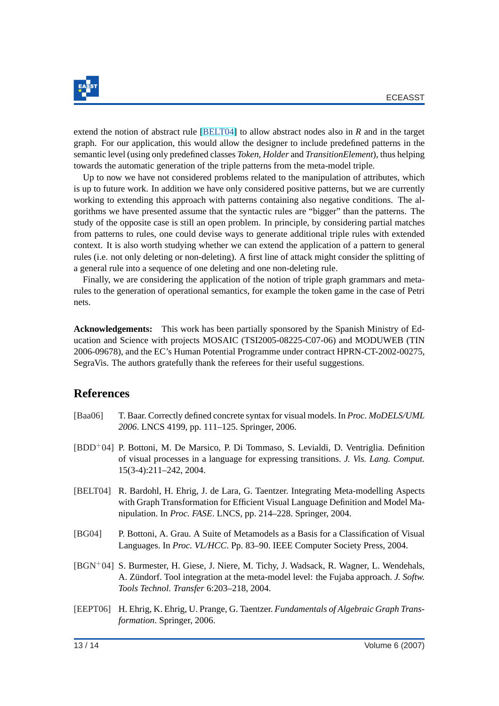<span id="page-13-0"></span>

extend the notion of abstract rule [BELT04] to allow abstract nodes also in *R* and in the target graph. For our application, this would allow the designer to include predefined patterns in the semantic level (using only predefined classes *Token*, *Holder* and *TransitionElement*), thus helping towards the automatic generation of the triple patterns from the meta-model triple.

Up to now we have not considered problems related to the manipulation of attributes, which is up to future work. In addition we have only considered positive patterns, but we are currently working to extending this approach with patterns containing also negative conditions. The algorithms we have presented assume that the syntactic rules are "bigger" than the patterns. The study of the opposite case is still an open problem. In principle, by considering partial matches from patterns to rules, one could devise ways to generate additional triple rules with extended context. It is also worth studying whether we can extend the application of a pattern to general rules (i.e. not only deleting or non-deleting). A first line of attack might consider the splitting of a general rule into a sequence of one deleting and one non-deleting rule.

Finally, we are considering the application of the notion of triple graph grammars and metarules to the generation of operational semantics, for example the token game in the case of Petri nets.

**Acknowledgements:** This work has been partially sponsored by the Spanish Ministry of Education and Science with projects MOSAIC (TSI2005-08225-C07-06) and MODUWEB (TIN 2006-09678), and the EC's Human Potential Programme under contract HPRN-CT-2002-00275, SegraVis. The authors gratefully thank the referees for their useful suggestions.

### **References**

- [Baa06] T. Baar. Correctly defined concrete syntax for visual models. In *Proc. MoDELS/UML 2006*. LNCS 4199, pp. 111–125. Springer, 2006.
- [BDD+04] P. Bottoni, M. De Marsico, P. Di Tommaso, S. Levialdi, D. Ventriglia. Definition of visual processes in a language for expressing transitions. *J. Vis. Lang. Comput.* 15(3-4):211–242, 2004.
- [BELT04] R. Bardohl, H. Ehrig, J. de Lara, G. Taentzer. Integrating Meta-modelling Aspects with Graph Transformation for Efficient Visual Language Definition and Model Manipulation. In *Proc. FASE*. LNCS, pp. 214–228. Springer, 2004.
- [BG04] P. Bottoni, A. Grau. A Suite of Metamodels as a Basis for a Classification of Visual Languages. In *Proc. VL/HCC*. Pp. 83–90. IEEE Computer Society Press, 2004.
- [BGN+04] S. Burmester, H. Giese, J. Niere, M. Tichy, J. Wadsack, R. Wagner, L. Wendehals, A. Zündorf. Tool integration at the meta-model level: the Fujaba approach. *J. Softw. Tools Technol. Transfer* 6:203–218, 2004.
- [EEPT06] H. Ehrig, K. Ehrig, U. Prange, G. Taentzer. *Fundamentals of Algebraic Graph Transformation*. Springer, 2006.